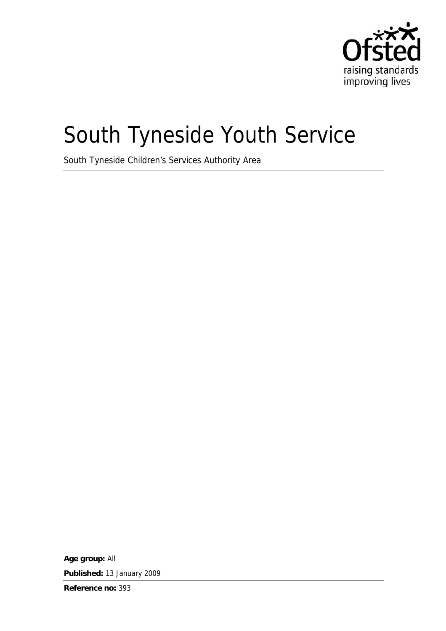

# South Tyneside Youth Service

South Tyneside Children's Services Authority Area

**Age group:** All

**Published:** 13 January 2009

**Reference no:** 393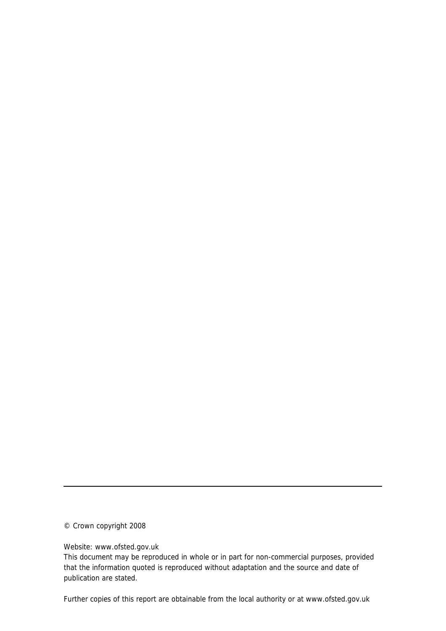© Crown copyright 2008

Website: www.ofsted.gov.uk

This document may be reproduced in whole or in part for non-commercial purposes, provided that the information quoted is reproduced without adaptation and the source and date of publication are stated.

Further copies of this report are obtainable from the local authority or at www.ofsted.gov.uk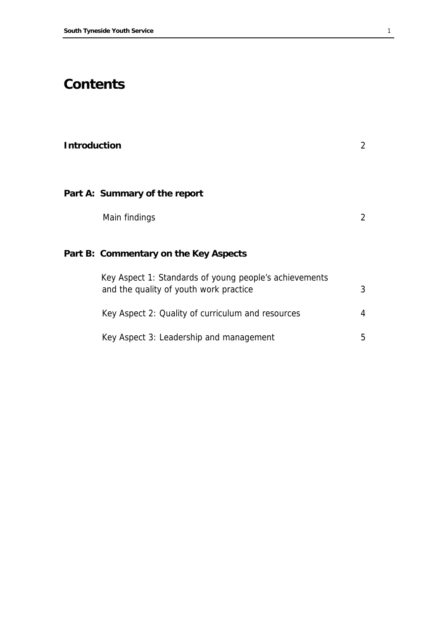# **Contents**

| <b>Introduction</b> |                                                                                                  | $\overline{2}$ |
|---------------------|--------------------------------------------------------------------------------------------------|----------------|
|                     | Part A: Summary of the report                                                                    |                |
|                     | Main findings                                                                                    | $\overline{2}$ |
|                     | Part B: Commentary on the Key Aspects                                                            |                |
|                     | Key Aspect 1: Standards of young people's achievements<br>and the quality of youth work practice | 3              |
|                     | Key Aspect 2: Quality of curriculum and resources                                                | 4              |
|                     | Key Aspect 3: Leadership and management                                                          | 5              |
|                     |                                                                                                  |                |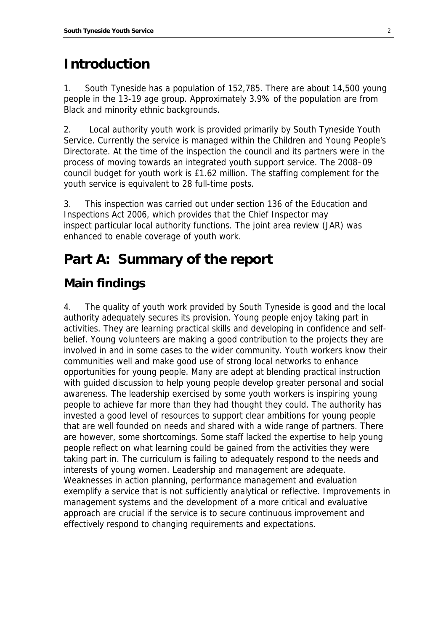## **Introduction**

1 . South Tyneside has a population of 152,785. There are about 14,500 young people in the 13-19 age group. Approximately 3.9% of the population are from Black and minority ethnic backgrounds.

2. . Local authority youth work is provided primarily by South Tyneside Youth Service. Currently the service is managed within the Children and Young People's Directorate. At the time of the inspection the council and its partners were in the process of moving towards an integrated youth support service. The 2008–09 council budget for youth work is £1.62 million. The staffing complement for the youth service is equivalent to 28 full-time posts.

3. . This inspection was carried out under section 136 of the Education and Inspections Act 2006, which provides that the Chief Inspector may inspect particular local authority functions. The joint area review (JAR) was enhanced to enable coverage of youth work.

# **Part A: Summary of the report**

### **Main findings**

4 . The quality of youth work provided by South Tyneside is good and the local authority adequately secures its provision. Young people enjoy taking part in activities. They are learning practical skills and developing in confidence and selfbelief. Young volunteers are making a good contribution to the projects they are involved in and in some cases to the wider community. Youth workers know their communities well and make good use of strong local networks to enhance opportunities for young people. Many are adept at blending practical instruction with guided discussion to help young people develop greater personal and social awareness. The leadership exercised by some youth workers is inspiring young people to achieve far more than they had thought they could. The authority has invested a good level of resources to support clear ambitions for young people that are well founded on needs and shared with a wide range of partners. There are however, some shortcomings. Some staff lacked the expertise to help young people reflect on what learning could be gained from the activities they were taking part in. The curriculum is failing to adequately respond to the needs and interests of young women. Leadership and management are adequate. Weaknesses in action planning, performance management and evaluation exemplify a service that is not sufficiently analytical or reflective. Improvements in management systems and the development of a more critical and evaluative approach are crucial if the service is to secure continuous improvement and effectively respond to changing requirements and expectations.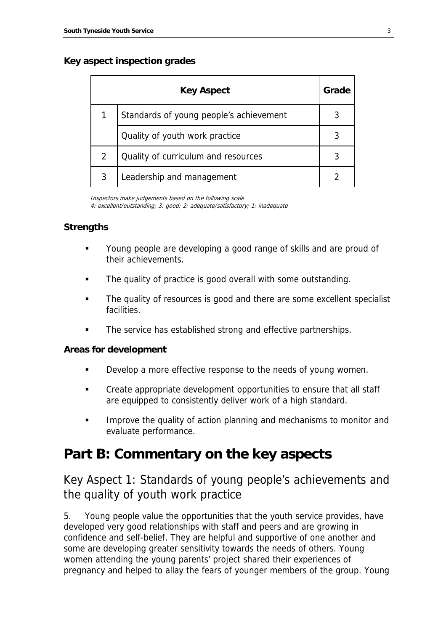#### **Key aspect inspection grades**

|   | <b>Key Aspect</b>                       | Grade |
|---|-----------------------------------------|-------|
|   | Standards of young people's achievement |       |
|   | Quality of youth work practice          |       |
| 2 | Quality of curriculum and resources     |       |
| 3 | Leadership and management               |       |

Inspectors make judgements based on the following scale 4: excellent/outstanding; 3: good; 2: adequate/satisfactory; 1: inadequate

#### **Strengths**

- Young people are developing a good range of skills and are proud of their achievements.
- The quality of practice is good overall with some outstanding.
- The quality of resources is good and there are some excellent specialist facilities.
- The service has established strong and effective partnerships.

#### **Areas for development**

- **Develop a more effective response to the needs of young women.**
- Create appropriate development opportunities to ensure that all staff are equipped to consistently deliver work of a high standard.
- **IMPROVE THE GUALARY IS ALSO EXAM I**n and mechanisms to monitor and evaluate performance.

### **Part B: Commentary on the key aspects**

### Key Aspect 1: Standards of young people's achievements and the quality of youth work practice

5 Young people value the opportunities that the youth service provides, have developed very good relationships with staff and peers and are growing in confidence and self-belief. They are helpful and supportive of one another and some are developing greater sensitivity towards the needs of others. Young women attending the young parents' project shared their experiences of pregnancy and helped to allay the fears of younger members of the group. Young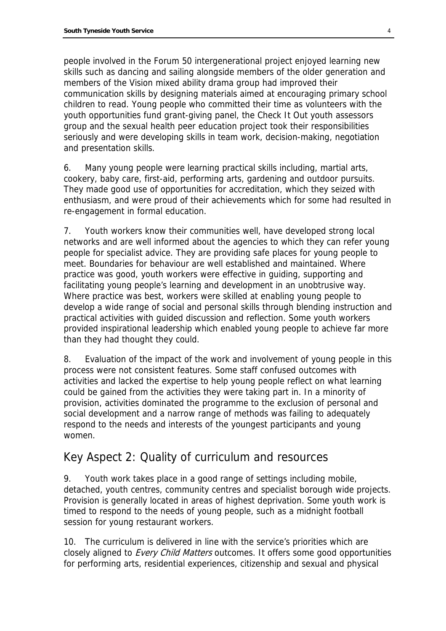people involved in the Forum 50 intergenerational project enjoyed learning new skills such as dancing and sailing alongside members of the older generation and members of the Vision mixed ability drama group had improved their communication skills by designing materials aimed at encouraging primary school children to read. Young people who committed their time as volunteers with the youth opportunities fund grant-giving panel, the Check It Out youth assessors group and the sexual health peer education project took their responsibilities seriously and were developing skills in team work, decision-making, negotiation and presentation skills.

6 . Many young people were learning practical skills including, martial arts, cookery, baby care, first-aid, performing arts, gardening and outdoor pursuits. They made good use of opportunities for accreditation, which they seized with enthusiasm, and were proud of their achievements which for some had resulted in re-engagement in formal education.

7 Youth workers know their communities well, have developed strong local networks and are well informed about the agencies to which they can refer young people for specialist advice. They are providing safe places for young people to meet. Boundaries for behaviour are well established and maintained. Where practice was good, youth workers were effective in guiding, supporting and facilitating young people's learning and development in an unobtrusive way. Where practice was best, workers were skilled at enabling young people to develop a wide range of social and personal skills through blending instruction and practical activities with guided discussion and reflection. Some youth workers provided inspirational leadership which enabled young people to achieve far more than they had thought they could.

8 . Evaluation of the impact of the work and involvement of young people in this process were not consistent features. Some staff confused outcomes with activities and lacked the expertise to help young people reflect on what learning could be gained from the activities they were taking part in. In a minority of provision, activities dominated the programme to the exclusion of personal and social development and a narrow range of methods was failing to adequately respond to the needs and interests of the youngest participants and young women.

### Key Aspect 2: Quality of curriculum and resources

9 Youth work takes place in a good range of settings including mobile, detached, youth centres, community centres and specialist borough wide projects. Provision is generally located in areas of highest deprivation. Some youth work is timed to respond to the needs of young people, such as a midnight football session for young restaurant workers.

1 0. The curriculum is delivered in line with the service's priorities which are closely aligned to *Every Child Matters* outcomes. It offers some good opportunities for performing arts, residential experiences, citizenship and sexual and physical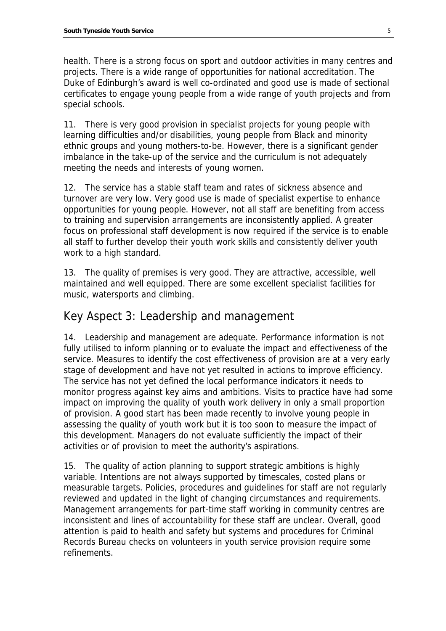health. There is a strong focus on sport and outdoor activities in many centres and projects. There is a wide range of opportunities for national accreditation. The Duke of Edinburgh's award is well co-ordinated and good use is made of sectional certificates to engage young people from a wide range of youth projects and from special schools.

11. There is very good provision in specialist projects for young people with learning difficulties and/or disabilities, young people from Black and minority ethnic groups and young mothers-to-be. However, there is a significant gender imbalance in the take-up of the service and the curriculum is not adequately meeting the needs and interests of young women.

12. The service has a stable staff team and rates of sickness absence and turnover are very low. Very good use is made of specialist expertise to enhance opportunities for young people. However, not all staff are benefiting from access to training and supervision arrangements are inconsistently applied. A greater focus on professional staff development is now required if the service is to enable all staff to further develop their youth work skills and consistently deliver youth work to a high standard.

13. The quality of premises is very good. They are attractive, accessible, well maintained and well equipped. There are some excellent specialist facilities for music, watersports and climbing.

### Key Aspect 3: Leadership and management

14. Leadership and management are adequate. Performance information is not fully utilised to inform planning or to evaluate the impact and effectiveness of the service. Measures to identify the cost effectiveness of provision are at a very early stage of development and have not yet resulted in actions to improve efficiency. The service has not yet defined the local performance indicators it needs to monitor progress against key aims and ambitions. Visits to practice have had some impact on improving the quality of youth work delivery in only a small proportion of provision. A good start has been made recently to involve young people in assessing the quality of youth work but it is too soon to measure the impact of this development. Managers do not evaluate sufficiently the impact of their activities or of provision to meet the authority's aspirations.

15. The quality of action planning to support strategic ambitions is highly variable. Intentions are not always supported by timescales, costed plans or measurable targets. Policies, procedures and guidelines for staff are not regularly reviewed and updated in the light of changing circumstances and requirements. Management arrangements for part-time staff working in community centres are inconsistent and lines of accountability for these staff are unclear. Overall, good attention is paid to health and safety but systems and procedures for Criminal Records Bureau checks on volunteers in youth service provision require some refinements.